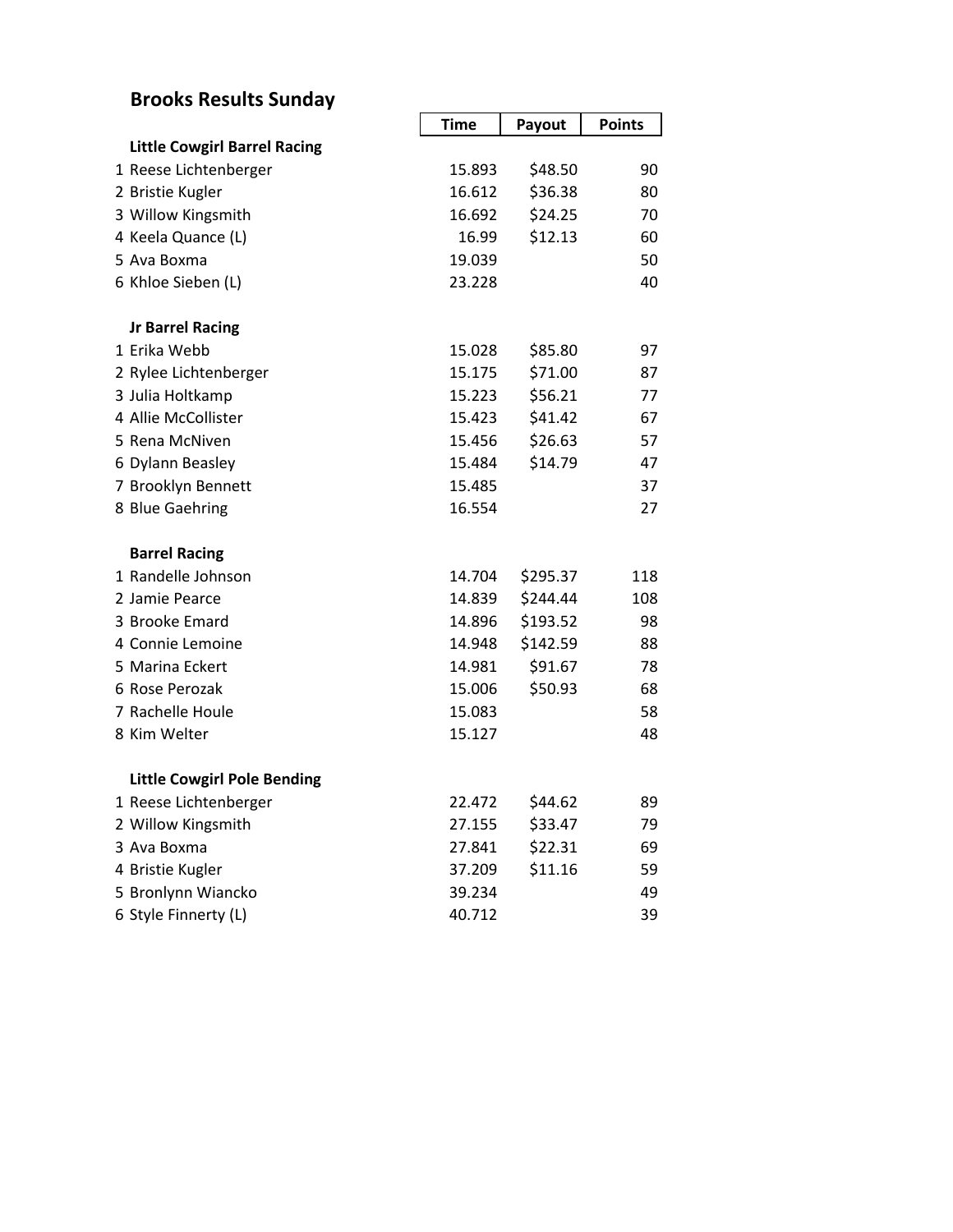## **Brooks Results Sunday**

|                                     | Time   | Payout   | Points |
|-------------------------------------|--------|----------|--------|
| <b>Little Cowgirl Barrel Racing</b> |        |          |        |
| 1 Reese Lichtenberger               | 15.893 | \$48.50  | 90     |
| 2 Bristie Kugler                    | 16.612 | \$36.38  | 80     |
| 3 Willow Kingsmith                  | 16.692 | \$24.25  | 70     |
| 4 Keela Quance (L)                  | 16.99  | \$12.13  | 60     |
| 5 Ava Boxma                         | 19.039 |          | 50     |
| 6 Khloe Sieben (L)                  | 23.228 |          | 40     |
| <b>Jr Barrel Racing</b>             |        |          |        |
| 1 Erika Webb                        | 15.028 | \$85.80  | 97     |
| 2 Rylee Lichtenberger               | 15.175 | \$71.00  | 87     |
| 3 Julia Holtkamp                    | 15.223 | \$56.21  | 77     |
| 4 Allie McCollister                 | 15.423 | \$41.42  | 67     |
| 5 Rena McNiven                      | 15.456 | \$26.63  | 57     |
| 6 Dylann Beasley                    | 15.484 | \$14.79  | 47     |
| 7 Brooklyn Bennett                  | 15.485 |          | 37     |
| 8 Blue Gaehring                     | 16.554 |          | 27     |
| <b>Barrel Racing</b>                |        |          |        |
| 1 Randelle Johnson                  | 14.704 | \$295.37 | 118    |
| 2 Jamie Pearce                      | 14.839 | \$244.44 | 108    |
| 3 Brooke Emard                      | 14.896 | \$193.52 | 98     |
| 4 Connie Lemoine                    | 14.948 | \$142.59 | 88     |
| 5 Marina Eckert                     | 14.981 | \$91.67  | 78     |
| 6 Rose Perozak                      | 15.006 | \$50.93  | 68     |
| 7 Rachelle Houle                    | 15.083 |          | 58     |
| 8 Kim Welter                        | 15.127 |          | 48     |
| <b>Little Cowgirl Pole Bending</b>  |        |          |        |
| 1 Reese Lichtenberger               | 22.472 | \$44.62  | 89     |
| 2 Willow Kingsmith                  | 27.155 | \$33.47  | 79     |
| 3 Ava Boxma                         | 27.841 | \$22.31  | 69     |
| 4 Bristie Kugler                    | 37.209 | \$11.16  | 59     |
| 5 Bronlynn Wiancko                  | 39.234 |          | 49     |
| 6 Style Finnerty (L)                | 40.712 |          | 39     |
|                                     |        |          |        |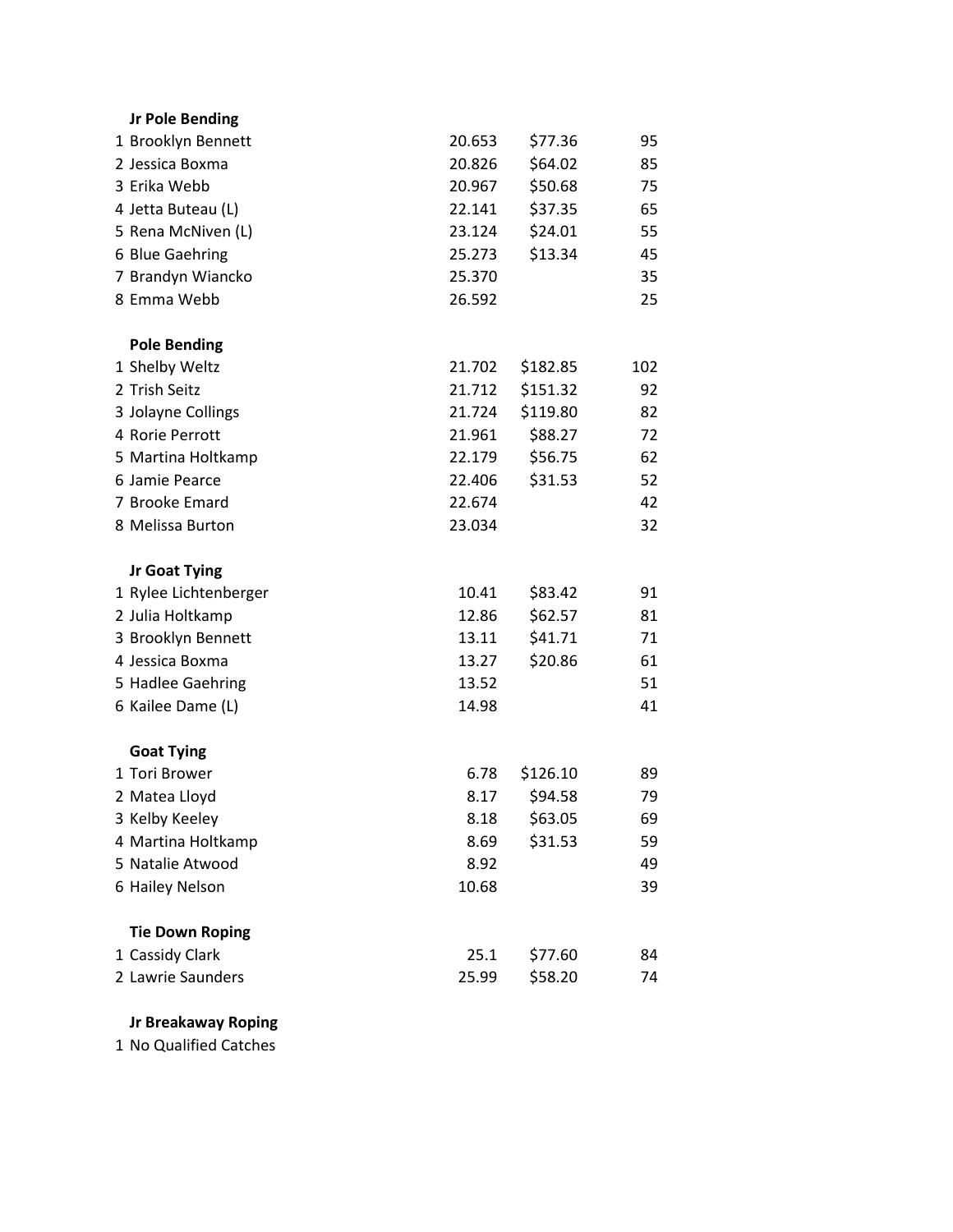| 1 Brooklyn Bennett     | 20.653 | \$77.36  |     |
|------------------------|--------|----------|-----|
|                        |        |          | 95  |
| 2 Jessica Boxma        | 20.826 | \$64.02  | 85  |
| 3 Erika Webb           | 20.967 | \$50.68  | 75  |
| 4 Jetta Buteau (L)     | 22.141 | \$37.35  | 65  |
| 5 Rena McNiven (L)     | 23.124 | \$24.01  | 55  |
| 6 Blue Gaehring        | 25.273 | \$13.34  | 45  |
| 7 Brandyn Wiancko      | 25.370 |          | 35  |
| 8 Emma Webb            | 26.592 |          | 25  |
| <b>Pole Bending</b>    |        |          |     |
| 1 Shelby Weltz         | 21.702 | \$182.85 | 102 |
| 2 Trish Seitz          | 21.712 | \$151.32 | 92  |
| 3 Jolayne Collings     | 21.724 | \$119.80 | 82  |
| 4 Rorie Perrott        | 21.961 | \$88.27  | 72  |
| 5 Martina Holtkamp     | 22.179 | \$56.75  | 62  |
| 6 Jamie Pearce         | 22.406 | \$31.53  | 52  |
| 7 Brooke Emard         | 22.674 |          | 42  |
| 8 Melissa Burton       | 23.034 |          | 32  |
| Jr Goat Tying          |        |          |     |
| 1 Rylee Lichtenberger  | 10.41  | \$83.42  | 91  |
| 2 Julia Holtkamp       | 12.86  | \$62.57  | 81  |
| 3 Brooklyn Bennett     | 13.11  | \$41.71  | 71  |
| 4 Jessica Boxma        | 13.27  | \$20.86  | 61  |
| 5 Hadlee Gaehring      | 13.52  |          | 51  |
| 6 Kailee Dame (L)      | 14.98  |          | 41  |
| <b>Goat Tying</b>      |        |          |     |
| 1 Tori Brower          | 6.78   | \$126.10 | 89  |
| 2 Matea Lloyd          | 8.17   | \$94.58  | 79  |
| 3 Kelby Keeley         | 8.18   | \$63.05  | 69  |
| 4 Martina Holtkamp     | 8.69   | \$31.53  | 59  |
| 5 Natalie Atwood       | 8.92   |          | 49  |
| 6 Hailey Nelson        | 10.68  |          | 39  |
| <b>Tie Down Roping</b> |        |          |     |
| 1 Cassidy Clark        | 25.1   | \$77.60  | 84  |
| 2 Lawrie Saunders      | 25.99  | \$58.20  | 74  |
|                        |        |          |     |

**Jr Breakaway Roping**

No Qualified Catches